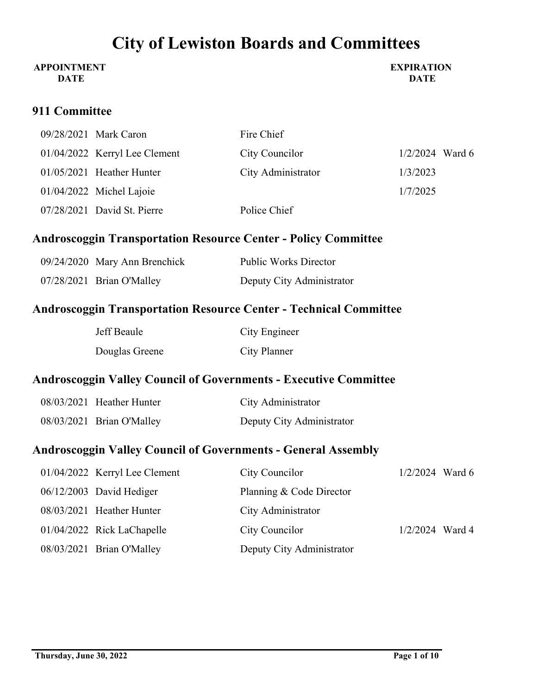#### **APPOINTMENT DATE**

**EXPIRATION DATE**

### **911 Committee**

| 09/28/2021 Mark Caron           | Fire Chief         |                   |
|---------------------------------|--------------------|-------------------|
| $01/04/2022$ Kerryl Lee Clement | City Councilor     | $1/2/2024$ Ward 6 |
| $01/05/2021$ Heather Hunter     | City Administrator | 1/3/2023          |
| $01/04/2022$ Michel Lajoie      |                    | 1/7/2025          |
| 07/28/2021 David St. Pierre     | Police Chief       |                   |

## **Androscoggin Transportation Resource Center - Policy Committee**

| 09/24/2020 Mary Ann Brenchick | <b>Public Works Director</b> |
|-------------------------------|------------------------------|
| 07/28/2021 Brian O'Malley     | Deputy City Administrator    |

### **Androscoggin Transportation Resource Center - Technical Committee**

| Jeff Beaule    | City Engineer |
|----------------|---------------|
| Douglas Greene | City Planner  |

### **Androscoggin Valley Council of Governments - Executive Committee**

| 08/03/2021 Heather Hunter | City Administrator        |
|---------------------------|---------------------------|
| 08/03/2021 Brian O'Malley | Deputy City Administrator |

### **Androscoggin Valley Council of Governments - General Assembly**

| 01/04/2022 Kerryl Lee Clement | City Councilor            | $1/2/2024$ Ward 6 |  |
|-------------------------------|---------------------------|-------------------|--|
| $06/12/2003$ David Hediger    | Planning & Code Director  |                   |  |
| 08/03/2021 Heather Hunter     | City Administrator        |                   |  |
| 01/04/2022 Rick LaChapelle    | City Councilor            | $1/2/2024$ Ward 4 |  |
| 08/03/2021 Brian O'Malley     | Deputy City Administrator |                   |  |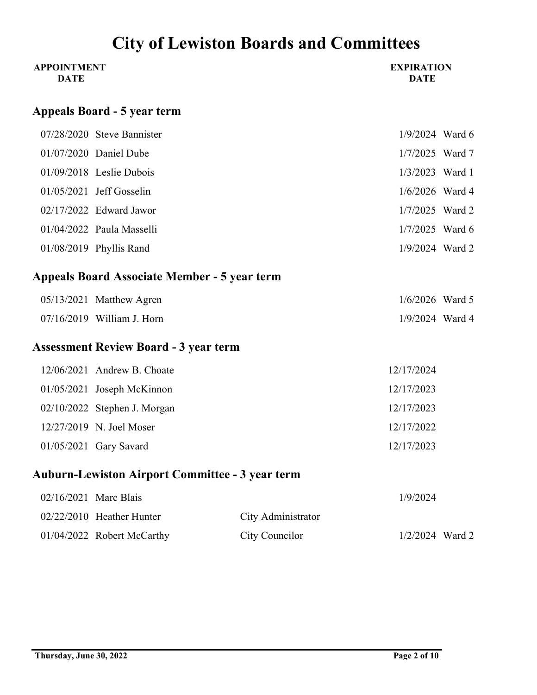| <b>APPOINTMENT</b><br><b>DATE</b> |                                                        |                    | <b>EXPIRATION</b><br><b>DATE</b> |  |
|-----------------------------------|--------------------------------------------------------|--------------------|----------------------------------|--|
|                                   | <b>Appeals Board - 5 year term</b>                     |                    |                                  |  |
|                                   | 07/28/2020 Steve Bannister                             |                    | $1/9/2024$ Ward 6                |  |
|                                   | 01/07/2020 Daniel Dube                                 |                    | 1/7/2025 Ward 7                  |  |
|                                   | 01/09/2018 Leslie Dubois                               |                    | 1/3/2023 Ward 1                  |  |
|                                   | 01/05/2021 Jeff Gosselin                               |                    | 1/6/2026 Ward 4                  |  |
|                                   | 02/17/2022 Edward Jawor                                |                    | 1/7/2025 Ward 2                  |  |
|                                   | 01/04/2022 Paula Masselli                              |                    | $1/7/2025$ Ward 6                |  |
|                                   | 01/08/2019 Phyllis Rand                                |                    | 1/9/2024 Ward 2                  |  |
|                                   | <b>Appeals Board Associate Member - 5 year term</b>    |                    |                                  |  |
|                                   | 05/13/2021 Matthew Agren                               |                    | $1/6/2026$ Ward 5                |  |
|                                   | 07/16/2019 William J. Horn                             |                    | 1/9/2024 Ward 4                  |  |
|                                   | <b>Assessment Review Board - 3 year term</b>           |                    |                                  |  |
|                                   | 12/06/2021 Andrew B. Choate                            |                    | 12/17/2024                       |  |
|                                   | 01/05/2021 Joseph McKinnon                             |                    | 12/17/2023                       |  |
|                                   | 02/10/2022 Stephen J. Morgan                           |                    | 12/17/2023                       |  |
|                                   | 12/27/2019 N. Joel Moser                               |                    | 12/17/2022                       |  |
|                                   | 01/05/2021 Gary Savard                                 |                    | 12/17/2023                       |  |
|                                   | <b>Auburn-Lewiston Airport Committee - 3 year term</b> |                    |                                  |  |
| 02/16/2021 Marc Blais             |                                                        |                    | 1/9/2024                         |  |
|                                   | 02/22/2010 Heather Hunter                              | City Administrator |                                  |  |

01/04/2022 Robert McCarthy City Councilor 1/2/2024 Ward 2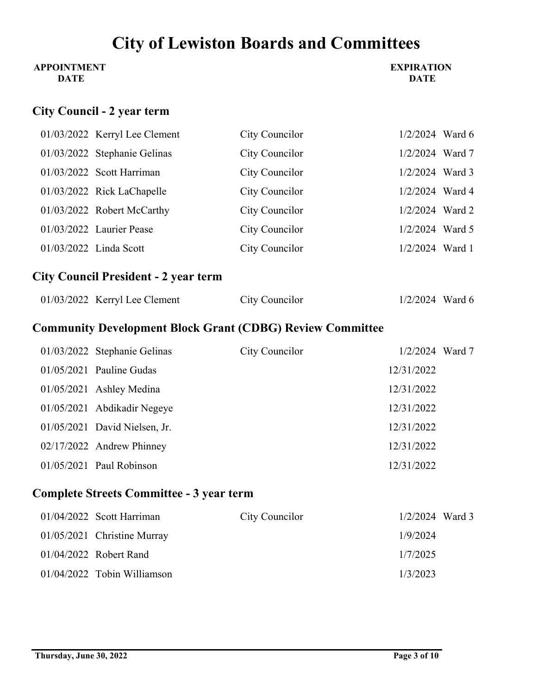### **APPOINTMENT DATE**

### **EXPIRATION DATE**

## **City Council - 2 year term**

|  | 01/03/2022 Kerryl Lee Clement | City Councilor | $1/2/2024$ Ward 6 |  |
|--|-------------------------------|----------------|-------------------|--|
|  | 01/03/2022 Stephanie Gelinas  | City Councilor | $1/2/2024$ Ward 7 |  |
|  | $01/03/2022$ Scott Harriman   | City Councilor | 1/2/2024 Ward 3   |  |
|  | 01/03/2022 Rick LaChapelle    | City Councilor | 1/2/2024 Ward 4   |  |
|  | 01/03/2022 Robert McCarthy    | City Councilor | $1/2/2024$ Ward 2 |  |
|  | 01/03/2022 Laurier Pease      | City Councilor | 1/2/2024 Ward 5   |  |
|  | 01/03/2022 Linda Scott        | City Councilor | $1/2/2024$ Ward 1 |  |

# **City Council President - 2 year term**

| $01/03/2022$ Kerryl Lee Clement | City Councilor | $1/2/2024$ Ward 6 |
|---------------------------------|----------------|-------------------|
|---------------------------------|----------------|-------------------|

# **Community Development Block Grant (CDBG) Review Committee**

| 01/03/2022 Stephanie Gelinas    | City Councilor | $1/2/2024$ Ward 7 |  |
|---------------------------------|----------------|-------------------|--|
| $01/05/2021$ Pauline Gudas      |                | 12/31/2022        |  |
| $01/05/2021$ Ashley Medina      |                | 12/31/2022        |  |
| 01/05/2021 Abdikadir Negeye     |                | 12/31/2022        |  |
| $01/05/2021$ David Nielsen, Jr. |                | 12/31/2022        |  |
| 02/17/2022 Andrew Phinney       |                | 12/31/2022        |  |
| $01/05/2021$ Paul Robinson      |                | 12/31/2022        |  |

## **Complete Streets Committee - 3 year term**

| $01/04/2022$ Scott Harriman   | City Councilor | $1/2/2024$ Ward 3 |  |
|-------------------------------|----------------|-------------------|--|
| 01/05/2021 Christine Murray   |                | 1/9/2024          |  |
| $01/04/2022$ Robert Rand      |                | 1/7/2025          |  |
| $01/04/2022$ Tobin Williamson |                | 1/3/2023          |  |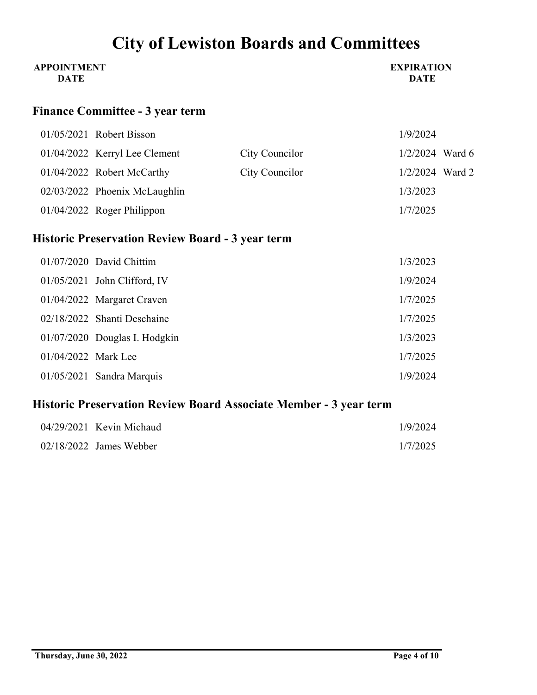| <b>APPOINTMENT</b> | <b>EXPIRATION</b> |
|--------------------|-------------------|
| <b>DATE</b>        | <b>DATE</b>       |

## **Finance Committee - 3 year term**

|  | $01/05/2021$ Robert Bisson      |                | 1/9/2024          |  |
|--|---------------------------------|----------------|-------------------|--|
|  | $01/04/2022$ Kerryl Lee Clement | City Councilor | $1/2/2024$ Ward 6 |  |
|  | 01/04/2022 Robert McCarthy      | City Councilor | $1/2/2024$ Ward 2 |  |
|  | 02/03/2022 Phoenix McLaughlin   |                | 1/3/2023          |  |
|  | $01/04/2022$ Roger Philippon    |                | 1/7/2025          |  |

# **Historic Preservation Review Board - 3 year term**

|                     | 01/07/2020 David Chittim       | 1/3/2023 |
|---------------------|--------------------------------|----------|
|                     | $01/05/2021$ John Clifford, IV | 1/9/2024 |
|                     | 01/04/2022 Margaret Craven     | 1/7/2025 |
|                     | 02/18/2022 Shanti Deschaine    | 1/7/2025 |
|                     | 01/07/2020 Douglas I. Hodgkin  | 1/3/2023 |
| 01/04/2022 Mark Lee |                                | 1/7/2025 |
|                     | $01/05/2021$ Sandra Marquis    | 1/9/2024 |

# **Historic Preservation Review Board Associate Member - 3 year term**

| $04/29/2021$ Kevin Michaud | 1/9/2024 |
|----------------------------|----------|
| $02/18/2022$ James Webber  | 1/7/2025 |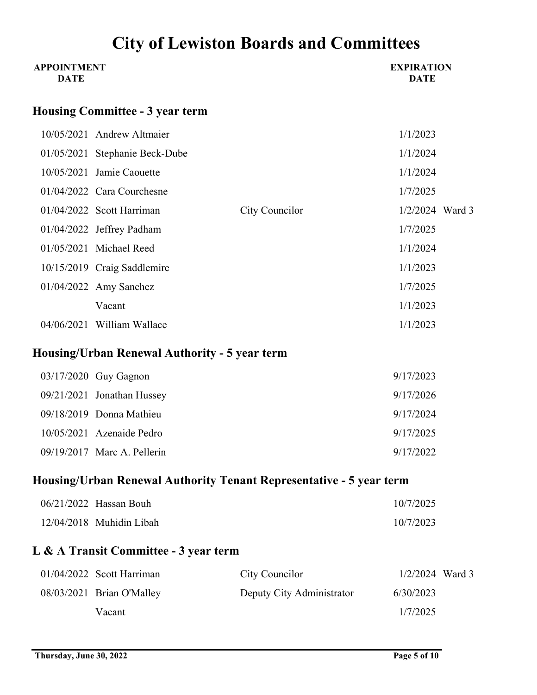| <b>APPOINTMENT</b><br><b>DATE</b> |                                        |                | <b>EXPIRATION</b><br><b>DATE</b> |
|-----------------------------------|----------------------------------------|----------------|----------------------------------|
|                                   | <b>Housing Committee - 3 year term</b> |                |                                  |
|                                   | 10/05/2021 Andrew Altmaier             |                | 1/1/2023                         |
|                                   | 01/05/2021 Stephanie Beck-Dube         |                | 1/1/2024                         |
|                                   | $10/05/2021$ Jamie Caouette            |                | 1/1/2024                         |
|                                   | 01/04/2022 Cara Courchesne             |                | 1/7/2025                         |
|                                   | $01/04/2022$ Scott Harriman            | City Councilor | $1/2/2024$ Ward 3                |
|                                   | $01/04/2022$ Jeffrey Padham            |                | 1/7/2025                         |
|                                   | 01/05/2021 Michael Reed                |                | 1/1/2024                         |
|                                   | 10/15/2019 Craig Saddlemire            |                | 1/1/2023                         |
|                                   | $01/04/2022$ Amy Sanchez               |                | 1/7/2025                         |
|                                   | Vacant                                 |                | 1/1/2023                         |
|                                   | 04/06/2021 William Wallace             |                | 1/1/2023                         |

# **Housing/Urban Renewal Authority - 5 year term**

|  | $03/17/2020$ Guy Gagnon      | 9/17/2023 |
|--|------------------------------|-----------|
|  | $09/21/2021$ Jonathan Hussey | 9/17/2026 |
|  | $09/18/2019$ Donna Mathieu   | 9/17/2024 |
|  | $10/05/2021$ Azenaide Pedro  | 9/17/2025 |
|  | 09/19/2017 Marc A. Pellerin  | 9/17/2022 |

# **Housing/Urban Renewal Authority Tenant Representative - 5 year term**

| $06/21/2022$ Hassan Bouh   | 10/7/2025 |
|----------------------------|-----------|
| $12/04/2018$ Muhidin Libah | 10/7/2023 |

## **L & A Transit Committee - 3 year term**

| $01/04/2022$ Scott Harriman | City Councilor            | $1/2/2024$ Ward 3 |  |
|-----------------------------|---------------------------|-------------------|--|
| 08/03/2021 Brian O'Malley   | Deputy City Administrator | 6/30/2023         |  |
| Vacant                      |                           | 1/7/2025          |  |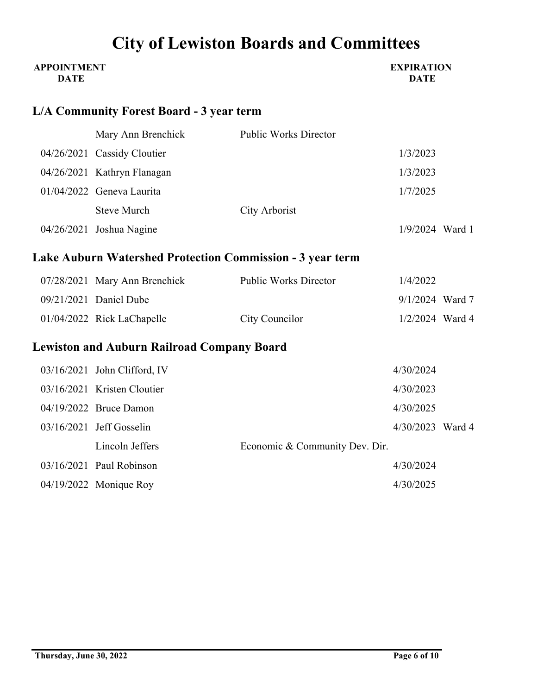| <b>APPOINTMENT</b><br><b>DATE</b> |                                                   |                                                           | <b>EXPIRATION</b><br><b>DATE</b> |  |
|-----------------------------------|---------------------------------------------------|-----------------------------------------------------------|----------------------------------|--|
|                                   | <b>L/A Community Forest Board - 3 year term</b>   |                                                           |                                  |  |
|                                   | Mary Ann Brenchick                                | <b>Public Works Director</b>                              |                                  |  |
|                                   | 04/26/2021 Cassidy Cloutier                       |                                                           | 1/3/2023                         |  |
|                                   | 04/26/2021 Kathryn Flanagan                       |                                                           | 1/3/2023                         |  |
|                                   | 01/04/2022 Geneva Laurita                         |                                                           | 1/7/2025                         |  |
|                                   | <b>Steve Murch</b>                                | City Arborist                                             |                                  |  |
|                                   | 04/26/2021 Joshua Nagine                          |                                                           | $1/9/2024$ Ward 1                |  |
|                                   |                                                   | Lake Auburn Watershed Protection Commission - 3 year term |                                  |  |
|                                   | 07/28/2021 Mary Ann Brenchick                     | <b>Public Works Director</b>                              | 1/4/2022                         |  |
|                                   | 09/21/2021 Daniel Dube                            |                                                           | 9/1/2024 Ward 7                  |  |
|                                   | 01/04/2022 Rick LaChapelle                        | City Councilor                                            | 1/2/2024 Ward 4                  |  |
|                                   | <b>Lewiston and Auburn Railroad Company Board</b> |                                                           |                                  |  |
|                                   | 03/16/2021 John Clifford, IV                      |                                                           | 4/30/2024                        |  |
|                                   | 03/16/2021 Kristen Cloutier                       |                                                           | 4/30/2023                        |  |
|                                   | 04/19/2022 Bruce Damon                            |                                                           | 4/30/2025                        |  |
|                                   | 03/16/2021 Jeff Gosselin                          |                                                           | 4/30/2023 Ward 4                 |  |
|                                   | Lincoln Jeffers                                   | Economic & Community Dev. Dir.                            |                                  |  |
|                                   | 03/16/2021 Paul Robinson                          |                                                           | 4/30/2024                        |  |
|                                   | 04/19/2022 Monique Roy                            |                                                           | 4/30/2025                        |  |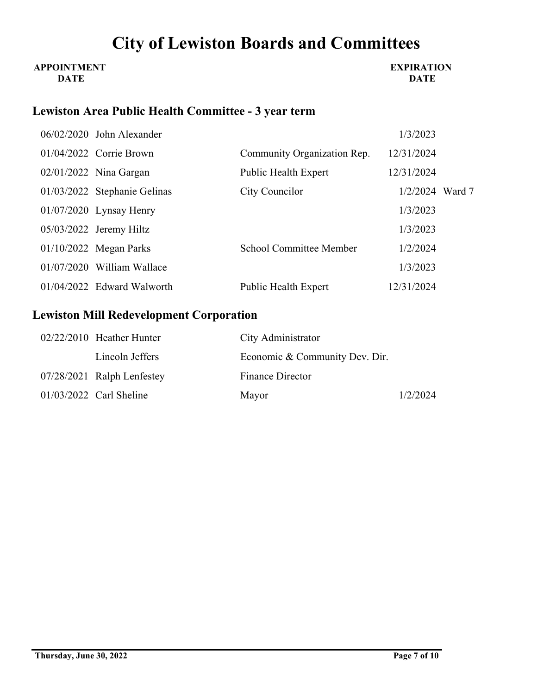#### **APPOINTMENT DATE**

#### **EXPIRATION DATE**

## **Lewiston Area Public Health Committee - 3 year term**

|  | 06/02/2020 John Alexander    |                                | 1/3/2023          |  |
|--|------------------------------|--------------------------------|-------------------|--|
|  | 01/04/2022 Corrie Brown      | Community Organization Rep.    | 12/31/2024        |  |
|  | $02/01/2022$ Nina Gargan     | Public Health Expert           | 12/31/2024        |  |
|  | 01/03/2022 Stephanie Gelinas | City Councilor                 | $1/2/2024$ Ward 7 |  |
|  | $01/07/2020$ Lynsay Henry    |                                | 1/3/2023          |  |
|  | $05/03/2022$ Jeremy Hiltz    |                                | 1/3/2023          |  |
|  | $01/10/2022$ Megan Parks     | <b>School Committee Member</b> | 1/2/2024          |  |
|  | $01/07/2020$ William Wallace |                                | 1/3/2023          |  |
|  | 01/04/2022 Edward Walworth   | <b>Public Health Expert</b>    | 12/31/2024        |  |

### **Lewiston Mill Redevelopment Corporation**

| $02/22/2010$ Heather Hunter | City Administrator             |          |
|-----------------------------|--------------------------------|----------|
| Lincoln Jeffers             | Economic & Community Dev. Dir. |          |
| 07/28/2021 Ralph Lenfestey  | <b>Finance Director</b>        |          |
| $01/03/2022$ Carl Sheline   | Mayor                          | 1/2/2024 |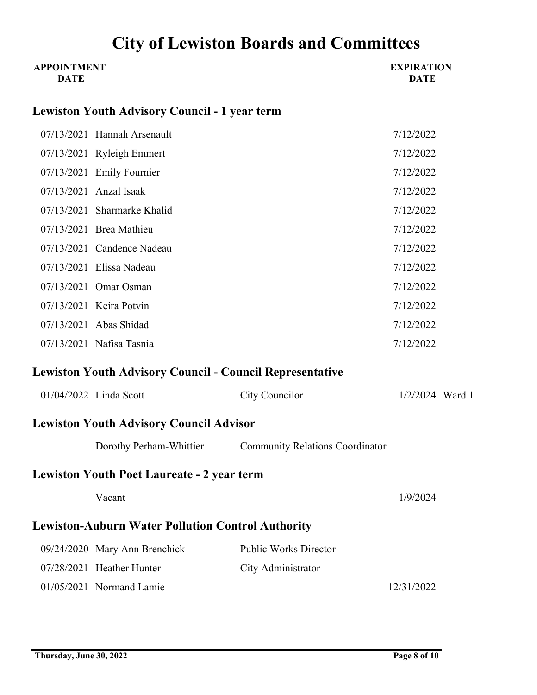| <b>APPOINTMENT</b><br><b>DATE</b> |                                                                 |                                                         | <b>EXPIRATION</b><br><b>DATE</b> |
|-----------------------------------|-----------------------------------------------------------------|---------------------------------------------------------|----------------------------------|
|                                   | <b>Lewiston Youth Advisory Council - 1 year term</b>            |                                                         |                                  |
|                                   | 07/13/2021 Hannah Arsenault                                     |                                                         | 7/12/2022                        |
|                                   | 07/13/2021 Ryleigh Emmert                                       |                                                         | 7/12/2022                        |
|                                   | 07/13/2021 Emily Fournier                                       |                                                         | 7/12/2022                        |
|                                   | 07/13/2021 Anzal Isaak                                          |                                                         | 7/12/2022                        |
|                                   | 07/13/2021 Sharmarke Khalid                                     |                                                         | 7/12/2022                        |
|                                   | 07/13/2021 Brea Mathieu                                         |                                                         | 7/12/2022                        |
|                                   | 07/13/2021 Candence Nadeau                                      |                                                         | 7/12/2022                        |
|                                   | 07/13/2021 Elissa Nadeau                                        |                                                         | 7/12/2022                        |
|                                   | 07/13/2021 Omar Osman                                           |                                                         | 7/12/2022                        |
|                                   | 07/13/2021 Keira Potvin                                         |                                                         | 7/12/2022                        |
|                                   | 07/13/2021 Abas Shidad                                          |                                                         | 7/12/2022                        |
|                                   | 07/13/2021 Nafisa Tasnia                                        |                                                         | 7/12/2022                        |
|                                   | <b>Lewiston Youth Advisory Council - Council Representative</b> |                                                         |                                  |
|                                   | 01/04/2022 Linda Scott                                          | City Councilor                                          | $1/2/2024$ Ward 1                |
|                                   | <b>Lewiston Youth Advisory Council Advisor</b>                  |                                                         |                                  |
|                                   |                                                                 | Dorothy Perham-Whittier Community Relations Coordinator |                                  |
|                                   | <b>Lewiston Youth Poet Laureate - 2 year term</b>               |                                                         |                                  |
|                                   | Vacant                                                          |                                                         | 1/9/2024                         |
|                                   | <b>Lewiston-Auburn Water Pollution Control Authority</b>        |                                                         |                                  |
|                                   | 09/24/2020 Mary Ann Brenchick                                   | <b>Public Works Director</b>                            |                                  |
|                                   | 07/28/2021 Heather Hunter                                       | City Administrator                                      |                                  |
|                                   | 01/05/2021 Normand Lamie                                        |                                                         | 12/31/2022                       |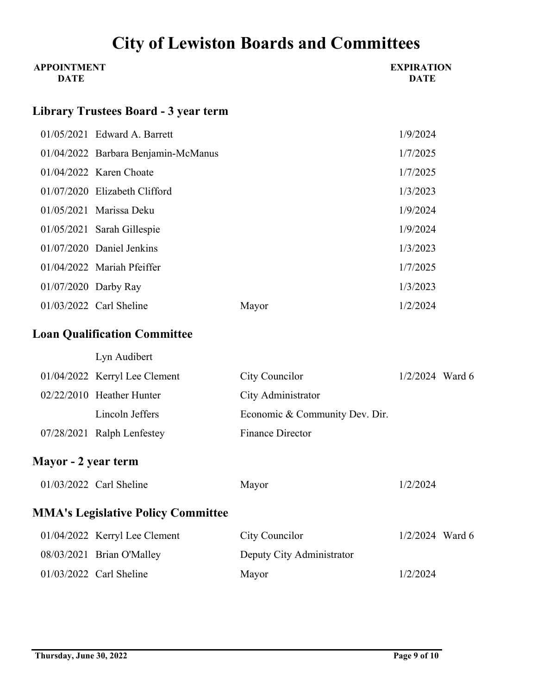| <b>APPOINTMENT</b><br><b>DATE</b> |                                           |                                | <b>EXPIRATION</b><br><b>DATE</b> |  |
|-----------------------------------|-------------------------------------------|--------------------------------|----------------------------------|--|
|                                   | Library Trustees Board - 3 year term      |                                |                                  |  |
|                                   | 01/05/2021 Edward A. Barrett              |                                | 1/9/2024                         |  |
|                                   | 01/04/2022 Barbara Benjamin-McManus       |                                | 1/7/2025                         |  |
|                                   | $01/04/2022$ Karen Choate                 |                                | 1/7/2025                         |  |
|                                   | 01/07/2020 Elizabeth Clifford             |                                | 1/3/2023                         |  |
|                                   | 01/05/2021 Marissa Deku                   |                                | 1/9/2024                         |  |
|                                   | 01/05/2021 Sarah Gillespie                |                                | 1/9/2024                         |  |
|                                   | 01/07/2020 Daniel Jenkins                 |                                | 1/3/2023                         |  |
|                                   | 01/04/2022 Mariah Pfeiffer                |                                | 1/7/2025                         |  |
|                                   | 01/07/2020 Darby Ray                      |                                | 1/3/2023                         |  |
|                                   | 01/03/2022 Carl Sheline                   | Mayor                          | 1/2/2024                         |  |
|                                   | <b>Loan Qualification Committee</b>       |                                |                                  |  |
|                                   | Lyn Audibert                              |                                |                                  |  |
|                                   | 01/04/2022 Kerryl Lee Clement             | City Councilor                 | $1/2/2024$ Ward 6                |  |
|                                   | 02/22/2010 Heather Hunter                 | City Administrator             |                                  |  |
|                                   | Lincoln Jeffers                           | Economic & Community Dev. Dir. |                                  |  |
|                                   | 07/28/2021 Ralph Lenfestey                | <b>Finance Director</b>        |                                  |  |
| Mayor - 2 year term               |                                           |                                |                                  |  |
|                                   | 01/03/2022 Carl Sheline                   | Mayor                          | 1/2/2024                         |  |
|                                   | <b>MMA's Legislative Policy Committee</b> |                                |                                  |  |
|                                   | 01/04/2022 Kerryl Lee Clement             | City Councilor                 | $1/2/2024$ Ward 6                |  |
|                                   | 08/03/2021 Brian O'Malley                 | Deputy City Administrator      |                                  |  |
|                                   | 01/03/2022 Carl Sheline                   | Mayor                          | 1/2/2024                         |  |